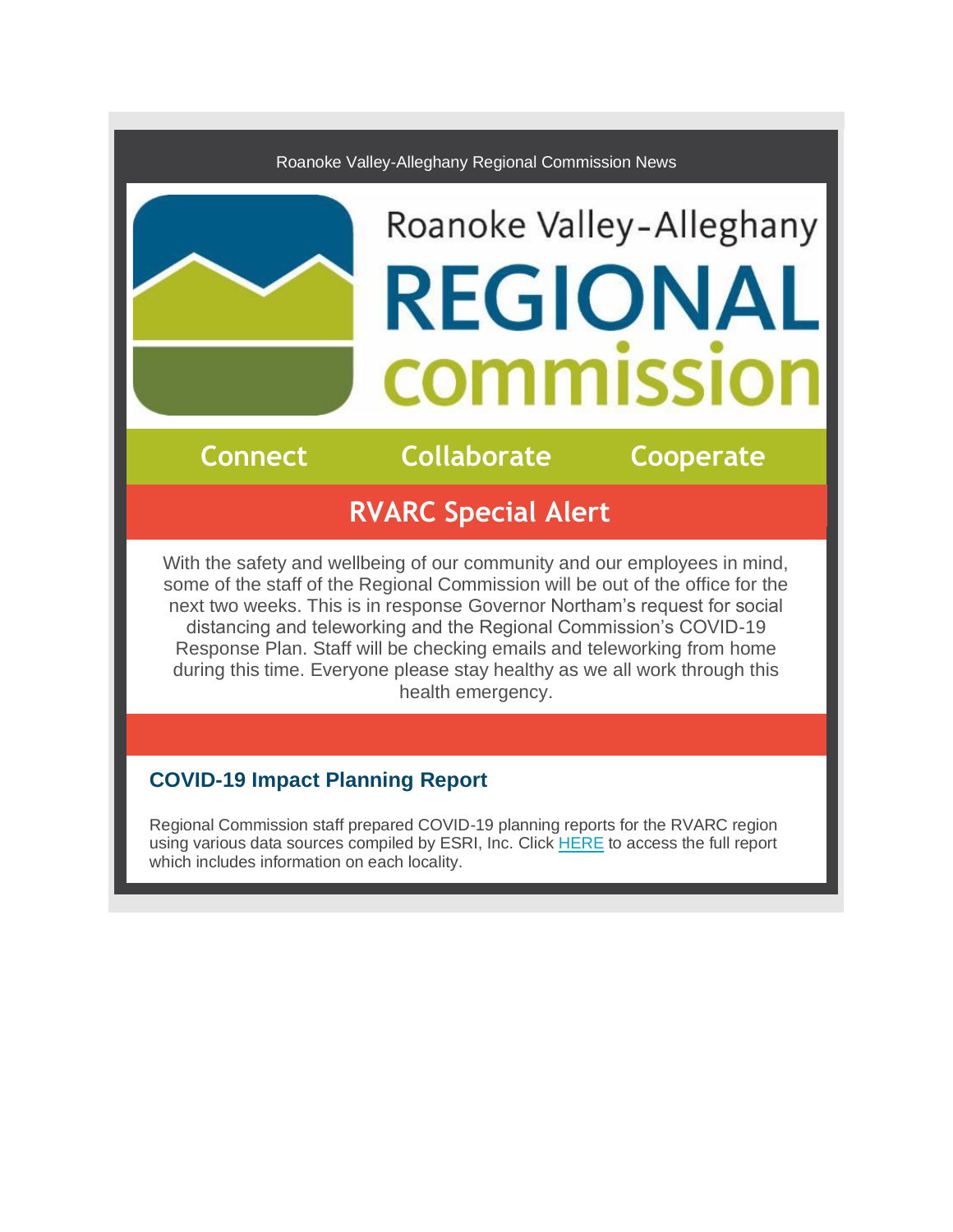#### Roanoke Valley-Alleghany Regional Commission News

# Roanoke Valley-Alleghany **REGIONAL COMMISSIC**

**Connect Collaborate Cooperate**

## **RVARC Special Alert**

With the safety and wellbeing of our community and our employees in mind, some of the staff of the Regional Commission will be out of the office for the next two weeks. This is in response Governor Northam's request for social distancing and teleworking and the Regional Commission's COVID-19 Response Plan. Staff will be checking emails and teleworking from home during this time. Everyone please stay healthy as we all work through this health emergency.

### **COVID-19 Impact Planning Report**

Regional Commission staff prepared COVID-19 planning reports for the RVARC region using various data sources compiled by ESRI, Inc. Clic[k HERE](http://r20.rs6.net/tn.jsp?f=001qA35Bk5bmE7uWTVxpPoGC7-UKewXoBxnEWNd27n5-ihluPD8OEyy5VRGCWHO3-KYRGmxP3zQOMLrvYUHHS_3sU0SOd_F9bwS-SdtlbDNueQb29hNTQYPTpLO-7DpU4_5A4jv2tVBbY1bFRAThI37HSfNrso5vXA_j8NL4Wcy29D1NgLO1N1iVYuHnf5h3QvfsQ5nAzE27WLj2VNpBbtkNg==&c=bQq_XDB3oyXm2kXdE2PTNHyiW1TnblWvtlapOQkkoaGn2TsUfqqJrA==&ch=gsfU1nGedYAAgWvCoNDKxXSNzj4oljXcHb0LkvRSSJsq9KAOBZ72Fw==) to access the full report which includes information on each locality.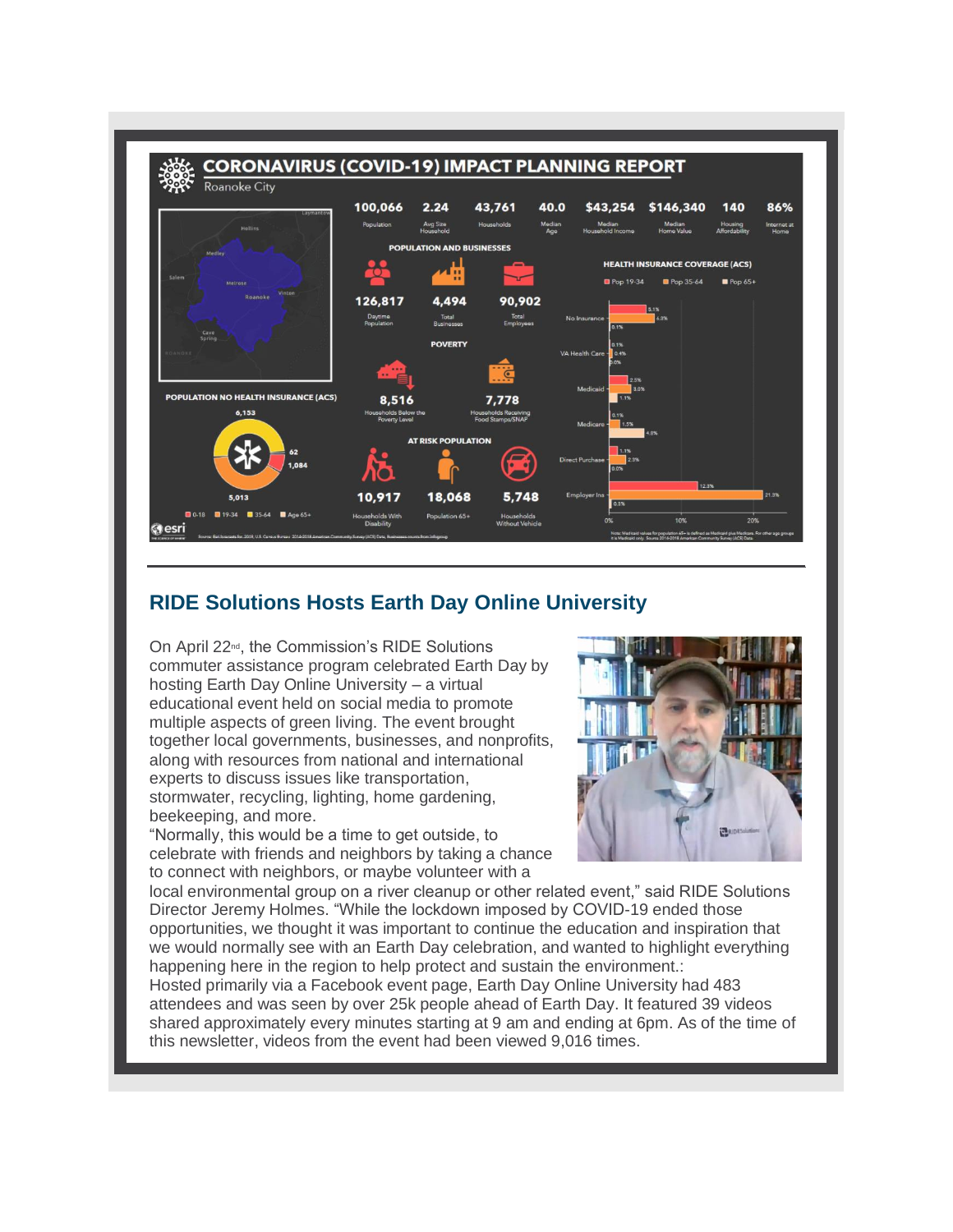

#### **RIDE Solutions Hosts Earth Day Online University**

On April 22nd, the Commission's RIDE Solutions commuter assistance program celebrated Earth Day by hosting Earth Day Online University – a virtual educational event held on social media to promote multiple aspects of green living. The event brought together local governments, businesses, and nonprofits, along with resources from national and international experts to discuss issues like transportation, stormwater, recycling, lighting, home gardening, beekeeping, and more.

"Normally, this would be a time to get outside, to celebrate with friends and neighbors by taking a chance to connect with neighbors, or maybe volunteer with a



local environmental group on a river cleanup or other related event," said RIDE Solutions Director Jeremy Holmes. "While the lockdown imposed by COVID-19 ended those opportunities, we thought it was important to continue the education and inspiration that we would normally see with an Earth Day celebration, and wanted to highlight everything happening here in the region to help protect and sustain the environment.:

Hosted primarily via a Facebook event page, Earth Day Online University had 483 attendees and was seen by over 25k people ahead of Earth Day. It featured 39 videos shared approximately every minutes starting at 9 am and ending at 6pm. As of the time of this newsletter, videos from the event had been viewed 9,016 times.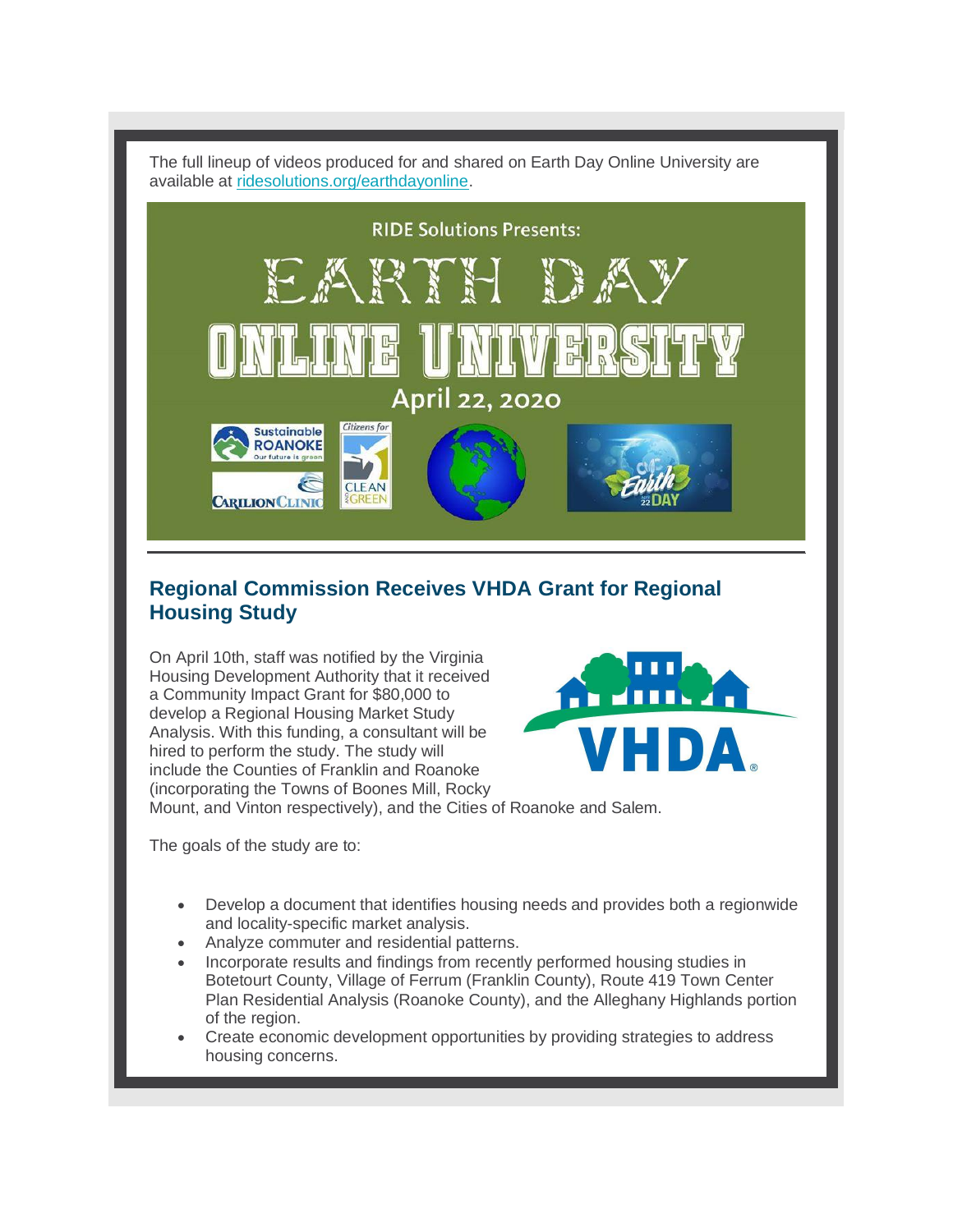The full lineup of videos produced for and shared on Earth Day Online University are available at [ridesolutions.org/earthdayonline.](http://r20.rs6.net/tn.jsp?f=001qA35Bk5bmE7uWTVxpPoGC7-UKewXoBxnEWNd27n5-ihluPD8OEyy5VRGCWHO3-KY_dLn5mqxCfEXPUN63gI6BmxUWMXTw-TfveRq1UhKkxvL6j-N6YTu43e-FIlKFkNJLktJP3rIepSY6lEDq1zEChiiilRRWE3i8f-f_twKJRE=&c=bQq_XDB3oyXm2kXdE2PTNHyiW1TnblWvtlapOQkkoaGn2TsUfqqJrA==&ch=gsfU1nGedYAAgWvCoNDKxXSNzj4oljXcHb0LkvRSSJsq9KAOBZ72Fw==)



#### **Regional Commission Receives VHDA Grant for Regional Housing Study**

On April 10th, staff was notified by the Virginia Housing Development Authority that it received a Community Impact Grant for \$80,000 to develop a Regional Housing Market Study Analysis. With this funding, a consultant will be hired to perform the study. The study will include the Counties of Franklin and Roanoke (incorporating the Towns of Boones Mill, Rocky



Mount, and Vinton respectively), and the Cities of Roanoke and Salem.

The goals of the study are to:

- Develop a document that identifies housing needs and provides both a regionwide and locality-specific market analysis.
- Analyze commuter and residential patterns.
- Incorporate results and findings from recently performed housing studies in Botetourt County, Village of Ferrum (Franklin County), Route 419 Town Center Plan Residential Analysis (Roanoke County), and the Alleghany Highlands portion of the region.
- Create economic development opportunities by providing strategies to address housing concerns.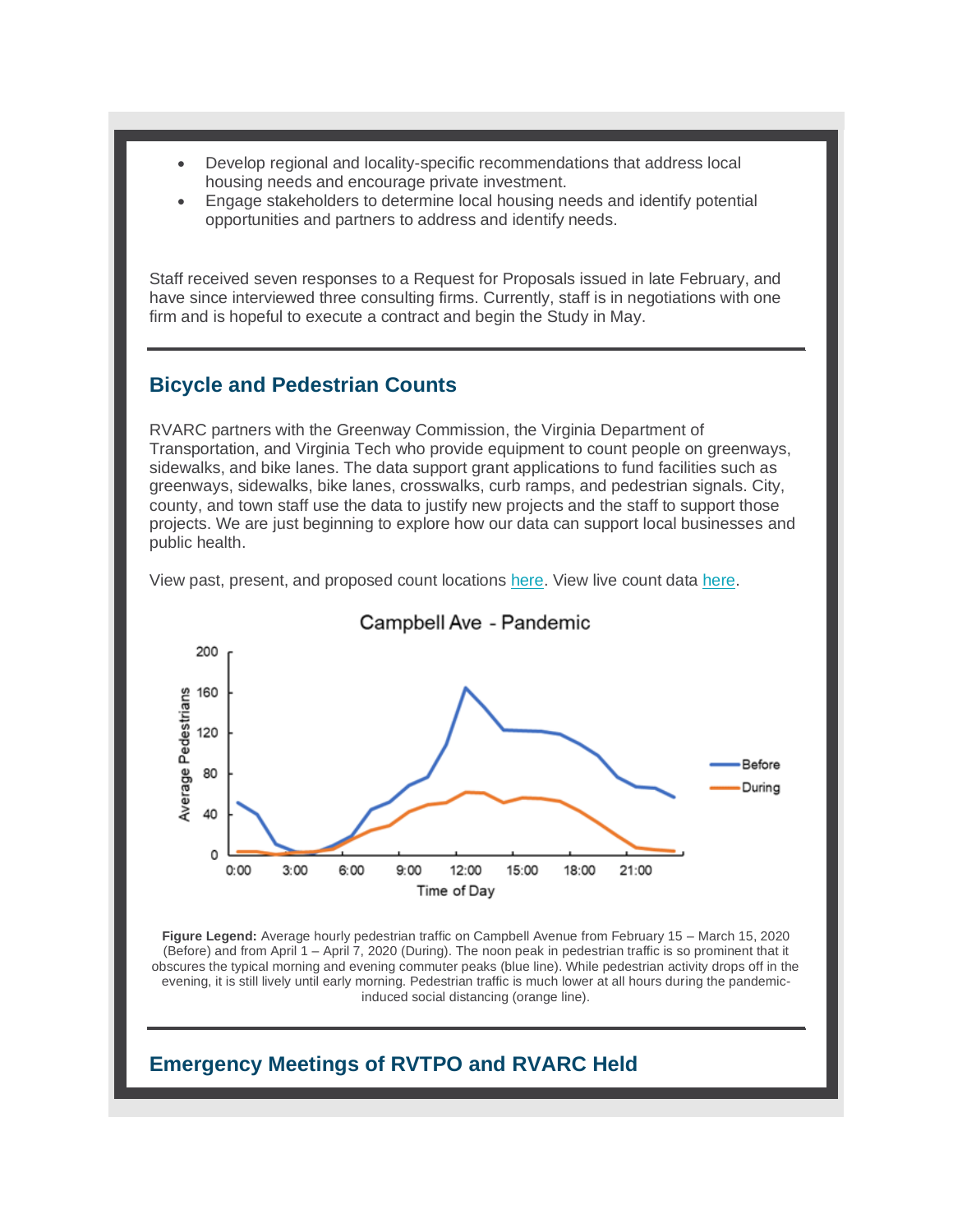- Develop regional and locality-specific recommendations that address local housing needs and encourage private investment.
- Engage stakeholders to determine local housing needs and identify potential opportunities and partners to address and identify needs.

Staff received seven responses to a Request for Proposals issued in late February, and have since interviewed three consulting firms. Currently, staff is in negotiations with one firm and is hopeful to execute a contract and begin the Study in May.

#### **Bicycle and Pedestrian Counts**

RVARC partners with the Greenway Commission, the Virginia Department of Transportation, and Virginia Tech who provide equipment to count people on greenways, sidewalks, and bike lanes. The data support grant applications to fund facilities such as greenways, sidewalks, bike lanes, crosswalks, curb ramps, and pedestrian signals. City, county, and town staff use the data to justify new projects and the staff to support those projects. We are just beginning to explore how our data can support local businesses and public health.

View past, present, and proposed count locations [here.](http://r20.rs6.net/tn.jsp?f=001qA35Bk5bmE7uWTVxpPoGC7-UKewXoBxnEWNd27n5-ihluPD8OEyy5VRGCWHO3-KYnp0puWtUeolpcrGKDlKYkQjwXcA22XR3buKAwUcFTXrRhOKGSl1JM1I_dsBquFi758Z4kOsoERB-LVhfPIgXRvkkK8Sy_QrHB9JT3jw_29acT1csNsmjafK7D2UcVaYhmOyuiMjbVPoi1mxuGyl_JTd6ufn_0jYI&c=bQq_XDB3oyXm2kXdE2PTNHyiW1TnblWvtlapOQkkoaGn2TsUfqqJrA==&ch=gsfU1nGedYAAgWvCoNDKxXSNzj4oljXcHb0LkvRSSJsq9KAOBZ72Fw==) View live count data [here.](http://r20.rs6.net/tn.jsp?f=001qA35Bk5bmE7uWTVxpPoGC7-UKewXoBxnEWNd27n5-ihluPD8OEyy5VRGCWHO3-KYgxm5nQoh-PZvkWWwN8B7jk1S-1UFpeipL11R32Lqpak7359jXMBT5ygiJzegGDzyAqjMXqGFCs1cODhDGnKGRoAoYKak3p5IH8Nlo1XEILZMu40DBOx4FA==&c=bQq_XDB3oyXm2kXdE2PTNHyiW1TnblWvtlapOQkkoaGn2TsUfqqJrA==&ch=gsfU1nGedYAAgWvCoNDKxXSNzj4oljXcHb0LkvRSSJsq9KAOBZ72Fw==)



Campbell Ave - Pandemic

**Figure Legend:** Average hourly pedestrian traffic on Campbell Avenue from February 15 – March 15, 2020 (Before) and from April 1 – April 7, 2020 (During). The noon peak in pedestrian traffic is so prominent that it obscures the typical morning and evening commuter peaks (blue line). While pedestrian activity drops off in the evening, it is still lively until early morning. Pedestrian traffic is much lower at all hours during the pandemicinduced social distancing (orange line).

#### **Emergency Meetings of RVTPO and RVARC Held**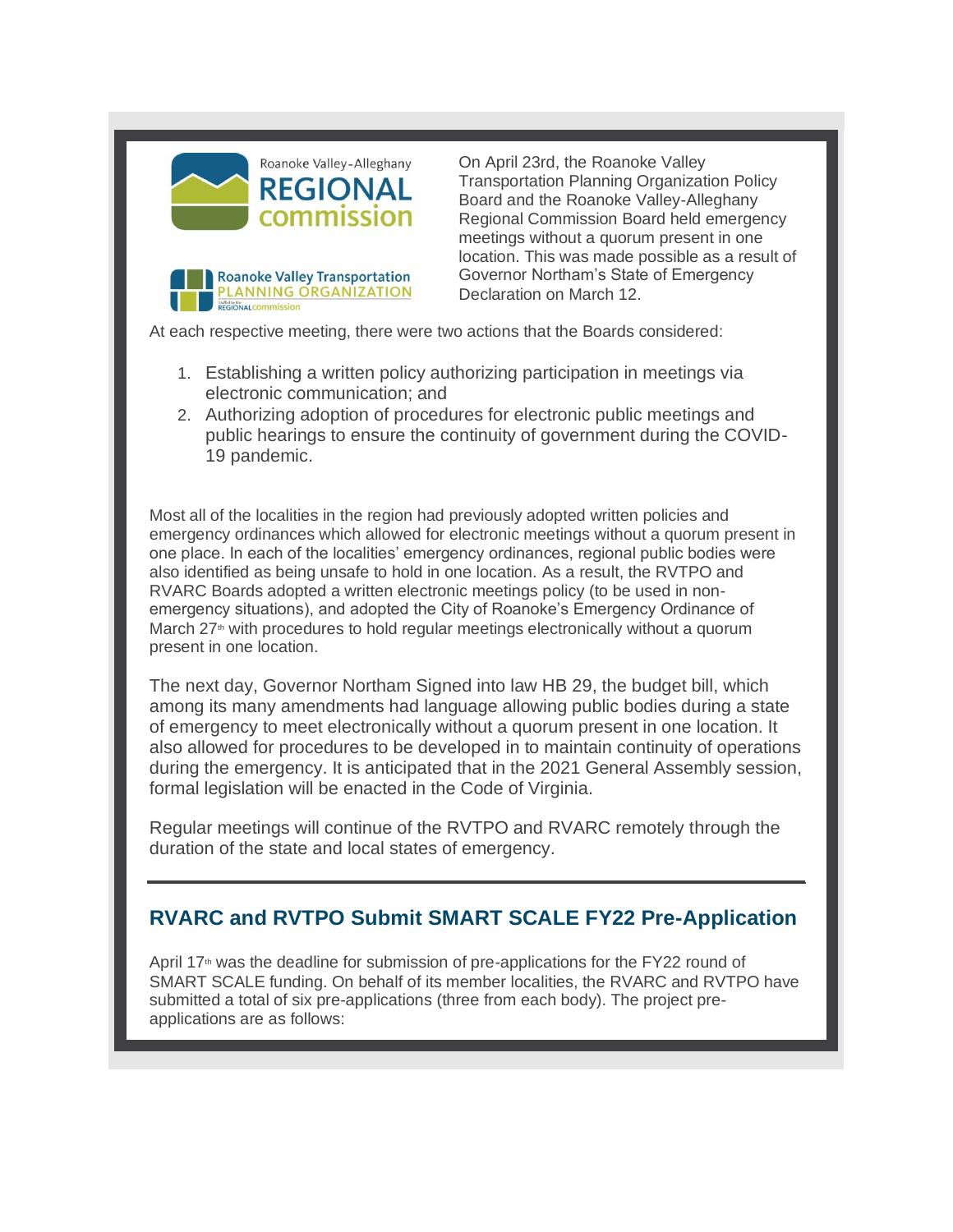

**REGIONAL COMMISSION** 

Roanoke Valley Transportation PLANNING ORGANIZATION On April 23rd, the Roanoke Valley Transportation Planning Organization Policy Board and the Roanoke Valley-Alleghany Regional Commission Board held emergency meetings without a quorum present in one location. This was made possible as a result of Governor Northam's State of Emergency Declaration on March 12.

At each respective meeting, there were two actions that the Boards considered:

- 1. Establishing a written policy authorizing participation in meetings via electronic communication; and
- 2. Authorizing adoption of procedures for electronic public meetings and public hearings to ensure the continuity of government during the COVID-19 pandemic.

Most all of the localities in the region had previously adopted written policies and emergency ordinances which allowed for electronic meetings without a quorum present in one place. In each of the localities' emergency ordinances, regional public bodies were also identified as being unsafe to hold in one location. As a result, the RVTPO and RVARC Boards adopted a written electronic meetings policy (to be used in nonemergency situations), and adopted the City of Roanoke's Emergency Ordinance of March  $27<sup>th</sup>$  with procedures to hold regular meetings electronically without a quorum present in one location.

The next day, Governor Northam Signed into law HB 29, the budget bill, which among its many amendments had language allowing public bodies during a state of emergency to meet electronically without a quorum present in one location. It also allowed for procedures to be developed in to maintain continuity of operations during the emergency. It is anticipated that in the 2021 General Assembly session, formal legislation will be enacted in the Code of Virginia.

Regular meetings will continue of the RVTPO and RVARC remotely through the duration of the state and local states of emergency.

### **RVARC and RVTPO Submit SMART SCALE FY22 Pre-Application**

April  $17<sup>th</sup>$  was the deadline for submission of pre-applications for the FY22 round of SMART SCALE funding. On behalf of its member localities, the RVARC and RVTPO have submitted a total of six pre-applications (three from each body). The project preapplications are as follows: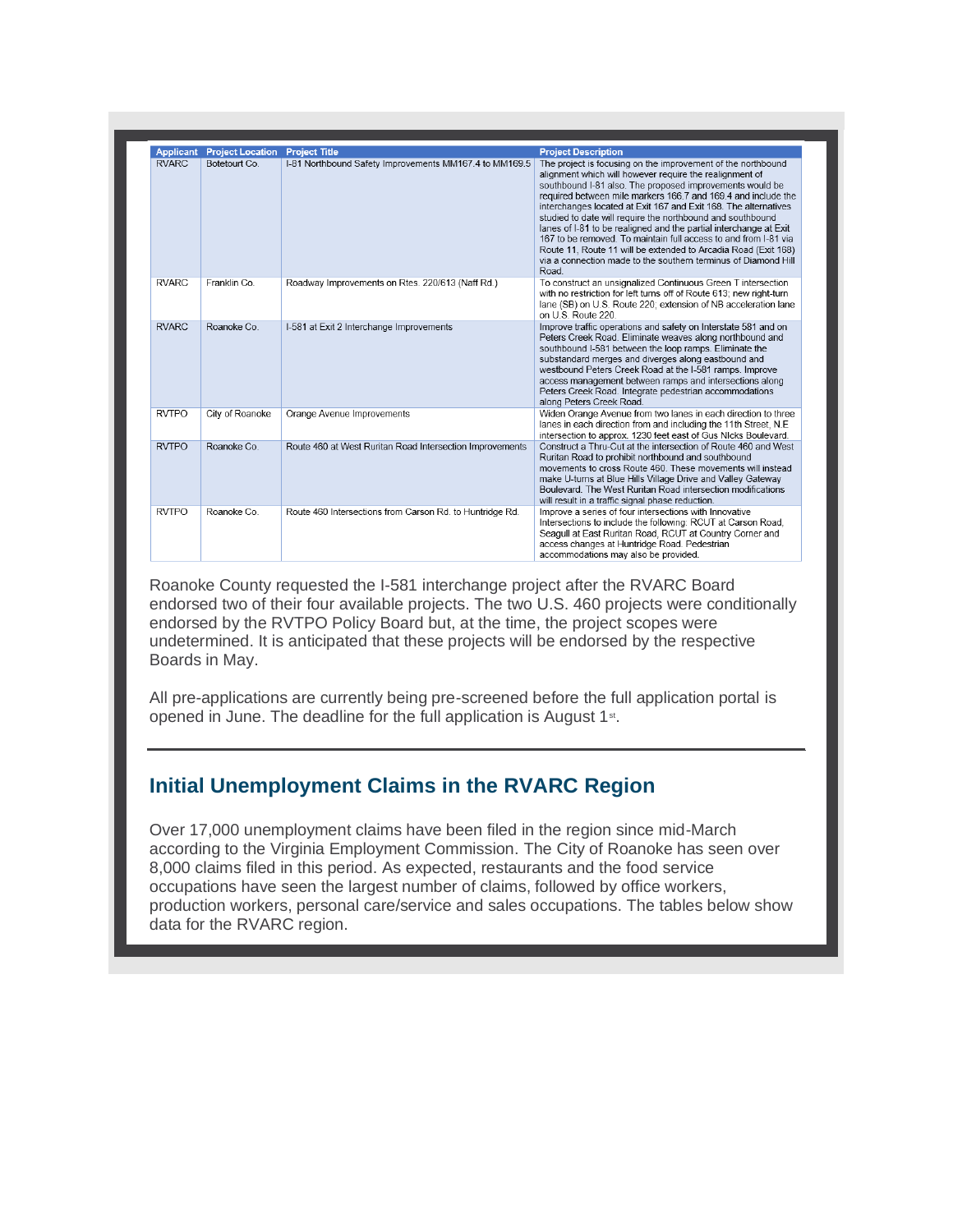| <b>Applicant</b> | <b>Project Location</b> | <b>Project Title</b>                                     | <b>Project Description</b>                                                                                                                                                                                                                                                                                                                                                                                                                                                                                                                                                                                                                                                 |
|------------------|-------------------------|----------------------------------------------------------|----------------------------------------------------------------------------------------------------------------------------------------------------------------------------------------------------------------------------------------------------------------------------------------------------------------------------------------------------------------------------------------------------------------------------------------------------------------------------------------------------------------------------------------------------------------------------------------------------------------------------------------------------------------------------|
| <b>RVARC</b>     | Botetourt Co.           | I-81 Northbound Safety Improvements MM167.4 to MM169.5   | The project is focusing on the improvement of the northbound<br>alignment which will however require the realignment of<br>southbound I-81 also. The proposed improvements would be<br>required between mile markers 166.7 and 169.4 and include the<br>interchanges located at Exit 167 and Exit 168. The alternatives<br>studied to date will require the northbound and southbound<br>lanes of I-81 to be realigned and the partial interchange at Exit<br>167 to be removed. To maintain full access to and from I-81 via<br>Route 11, Route 11 will be extended to Arcadia Road (Exit 168)<br>via a connection made to the southern terminus of Diamond Hill<br>Road. |
| <b>RVARC</b>     | Franklin Co.            | Roadway Improvements on Rtes. 220/613 (Naff Rd.)         | To construct an unsignalized Continuous Green T intersection<br>with no restriction for left turns off of Route 613; new right-turn<br>lane (SB) on U.S. Route 220; extension of NB acceleration lane<br>on U.S. Route 220.                                                                                                                                                                                                                                                                                                                                                                                                                                                |
| <b>RVARC</b>     | Roanoke Co              | I-581 at Exit 2 Interchange Improvements                 | Improve traffic operations and safety on Interstate 581 and on<br>Peters Creek Road. Eliminate weaves along northbound and<br>southbound I-581 between the loop ramps. Eliminate the<br>substandard merges and diverges along eastbound and<br>westbound Peters Creek Road at the I-581 ramps. Improve<br>access management between ramps and intersections along<br>Peters Creek Road. Integrate pedestrian accommodations<br>along Peters Creek Road.                                                                                                                                                                                                                    |
| <b>RVTPO</b>     | City of Roanoke         | Orange Avenue Improvements                               | Widen Orange Avenue from two lanes in each direction to three<br>lanes in each direction from and including the 11th Street, N.E.<br>intersection to approx. 1230 feet east of Gus NIcks Boulevard.                                                                                                                                                                                                                                                                                                                                                                                                                                                                        |
| <b>RVTPO</b>     | Roanoke Co              | Route 460 at West Ruritan Road Intersection Improvements | Construct a Thru-Cut at the intersection of Route 460 and West<br>Ruritan Road to prohibit northbound and southbound<br>movements to cross Route 460. These movements will instead<br>make U-turns at Blue Hills Village Drive and Valley Gateway<br>Boulevard. The West Ruritan Road intersection modifications<br>will result in a traffic signal phase reduction.                                                                                                                                                                                                                                                                                                       |
| <b>RVTPO</b>     | Roanoke Co              | Route 460 Intersections from Carson Rd. to Huntridge Rd. | Improve a series of four intersections with Innovative<br>Intersections to include the following: RCUT at Carson Road,<br>Seagull at East Ruritan Road, RCUT at Country Corner and<br>access changes at Huntridge Road. Pedestrian<br>accommodations may also be provided.                                                                                                                                                                                                                                                                                                                                                                                                 |

Roanoke County requested the I-581 interchange project after the RVARC Board endorsed two of their four available projects. The two U.S. 460 projects were conditionally endorsed by the RVTPO Policy Board but, at the time, the project scopes were undetermined. It is anticipated that these projects will be endorsed by the respective Boards in May.

All pre-applications are currently being pre-screened before the full application portal is opened in June. The deadline for the full application is August 1<sup>st</sup>.

### **Initial Unemployment Claims in the RVARC Region**

Over 17,000 unemployment claims have been filed in the region since mid-March according to the Virginia Employment Commission. The City of Roanoke has seen over 8,000 claims filed in this period. As expected, restaurants and the food service occupations have seen the largest number of claims, followed by office workers, production workers, personal care/service and sales occupations. The tables below show data for the RVARC region.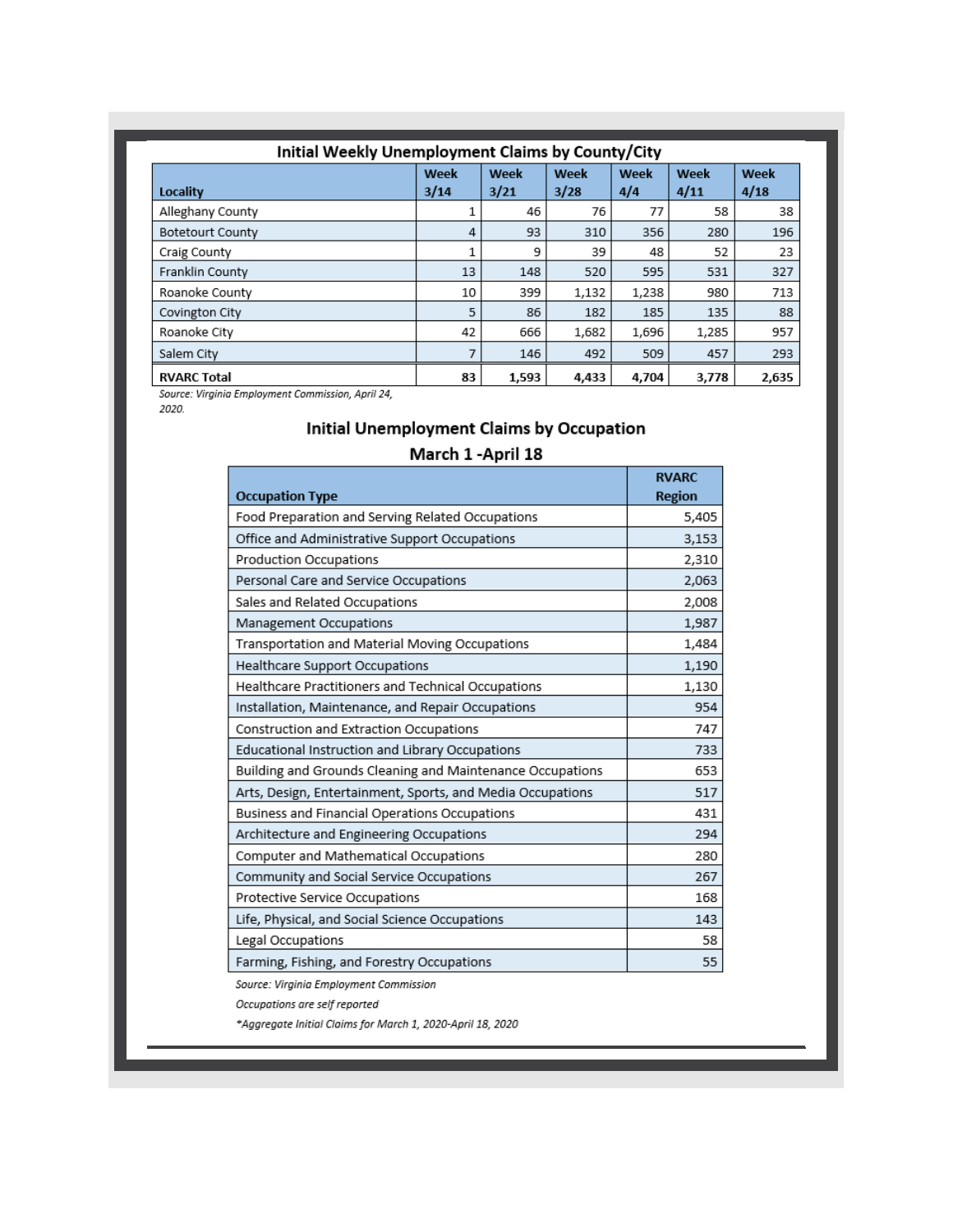| Initial Weekly Unemployment Claims by County/City |              |              |              |             |              |              |  |  |  |  |
|---------------------------------------------------|--------------|--------------|--------------|-------------|--------------|--------------|--|--|--|--|
| Locality                                          | Week<br>3/14 | Week<br>3/21 | Week<br>3/28 | Week<br>4/4 | Week<br>4/11 | Week<br>4/18 |  |  |  |  |
| Alleghany County                                  |              | 46           | 76           | 77          | 58           | 38           |  |  |  |  |
| <b>Botetourt County</b>                           | 4            | 93           | 310          | 356         | 280          | 196          |  |  |  |  |
| Craig County                                      | 1            | 9            | 39           | 48          | 52           | 23           |  |  |  |  |
| Franklin County                                   | 13           | 148          | 520          | 595         | 531          | 327          |  |  |  |  |
| Roanoke County                                    | 10           | 399          | 1,132        | 1,238       | 980          | 713          |  |  |  |  |
| Covington City                                    | 5            | 86           | 182          | 185         | 135          | 88           |  |  |  |  |
| Roanoke City                                      | 42           | 666          | 1,682        | 1,696       | 1,285        | 957          |  |  |  |  |
| Salem City                                        | 7            | 146          | 492          | 509         | 457          | 293          |  |  |  |  |
| <b>RVARC Total</b>                                | 83           | 1,593        | 4,433        | 4,704       | 3,778        | 2,635        |  |  |  |  |

Source: Virginia Employment Commission, April 24,

2020.

#### Initial Unemployment Claims by Occupation

#### March 1 - April 18

|                                                            | <b>RVARC</b>  |
|------------------------------------------------------------|---------------|
| <b>Occupation Type</b>                                     | <b>Region</b> |
| Food Preparation and Serving Related Occupations           | 5,405         |
| Office and Administrative Support Occupations              | 3,153         |
| Production Occupations                                     | 2,310         |
| Personal Care and Service Occupations                      | 2,063         |
| Sales and Related Occupations                              | 2,008         |
| Management Occupations                                     | 1,987         |
| Transportation and Material Moving Occupations             | 1,484         |
| Healthcare Support Occupations                             | 1,190         |
| Healthcare Practitioners and Technical Occupations         | 1,130         |
| Installation, Maintenance, and Repair Occupations          | 954           |
| Construction and Extraction Occupations                    | 747           |
| Educational Instruction and Library Occupations            | 733           |
| Building and Grounds Cleaning and Maintenance Occupations  | 653           |
| Arts, Design, Entertainment, Sports, and Media Occupations | 517           |
| Business and Financial Operations Occupations              | 431           |
| Architecture and Engineering Occupations                   | 294           |
| Computer and Mathematical Occupations                      | 280           |
| Community and Social Service Occupations                   | 267           |
| Protective Service Occupations                             | 168           |
| Life, Physical, and Social Science Occupations             | 143           |
| Legal Occupations                                          | 58            |
| Farming, Fishing, and Forestry Occupations                 | 55            |

Source: Virginia Employment Commission

Occupations are self reported

\*Aggregate Initial Claims for March 1, 2020-April 18, 2020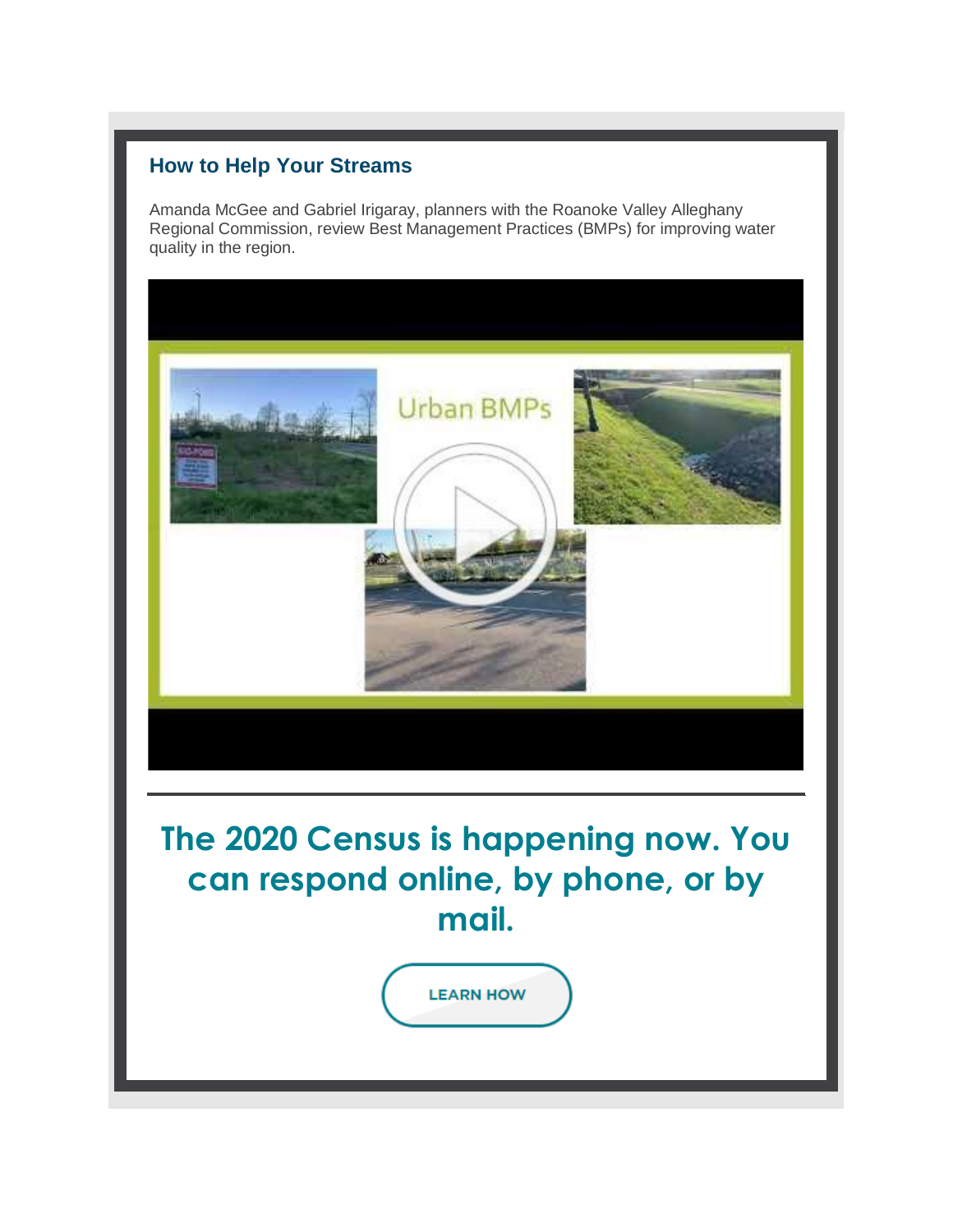#### **How to Help Your Streams**

Amanda McGee and Gabriel Irigaray, planners with the Roanoke Valley Alleghany Regional Commission, review Best Management Practices (BMPs) for improving water quality in the region.

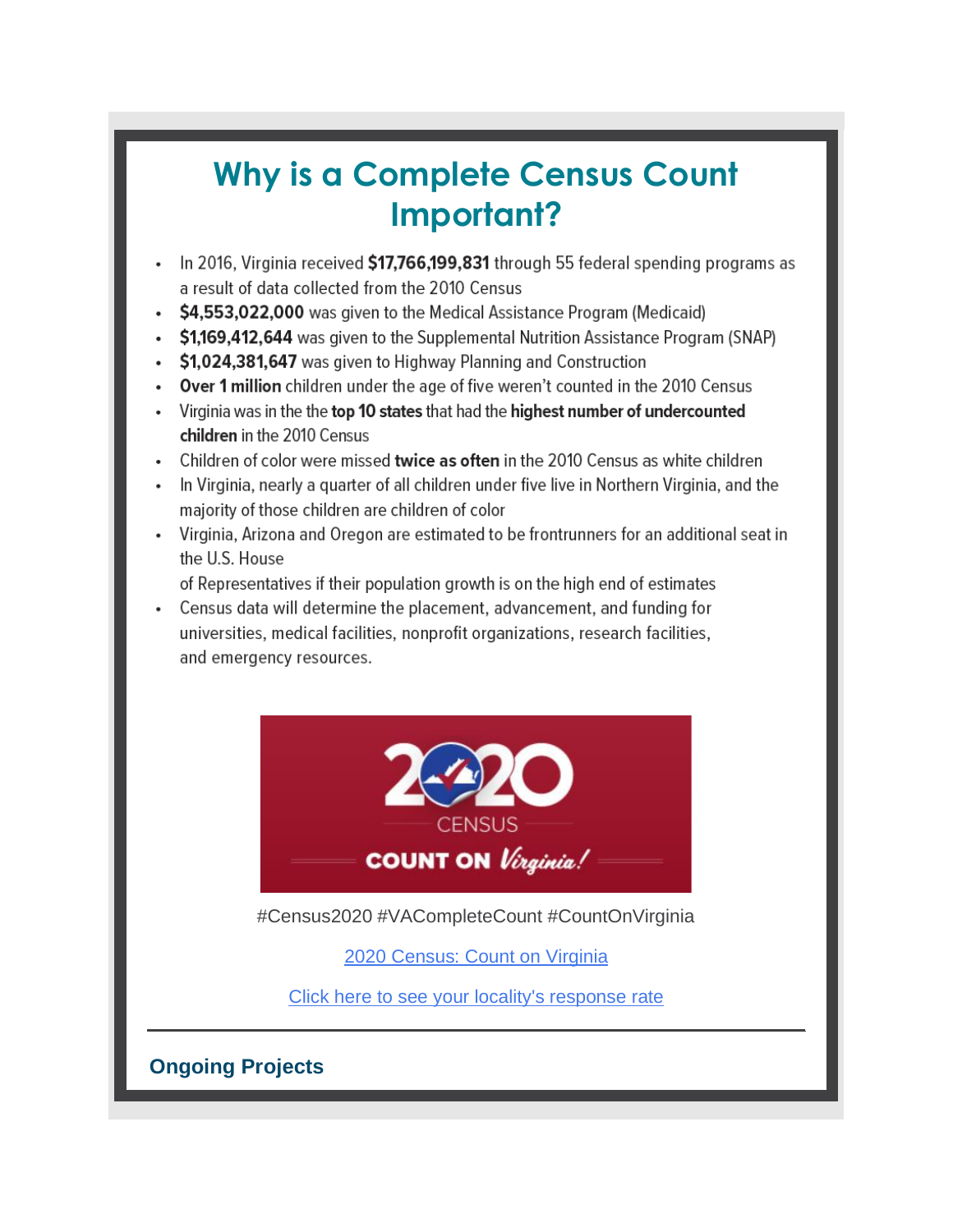# **Why is a Complete Census Count Important?**

- In 2016, Virginia received \$17,766,199,831 through 55 federal spending programs as  $\bullet$ a result of data collected from the 2010 Census
- \$4,553,022,000 was given to the Medical Assistance Program (Medicaid)
- \$1,169,412,644 was given to the Supplemental Nutrition Assistance Program (SNAP)
- \$1,024,381,647 was given to Highway Planning and Construction
- Over 1 million children under the age of five weren't counted in the 2010 Census
- Virginia was in the the top 10 states that had the highest number of undercounted children in the 2010 Census
- Children of color were missed twice as often in the 2010 Census as white children
- In Virginia, nearly a quarter of all children under five live in Northern Virginia, and the majority of those children are children of color
- Virginia, Arizona and Oregon are estimated to be frontrunners for an additional seat in the U.S. House

of Representatives if their population growth is on the high end of estimates

• Census data will determine the placement, advancement, and funding for universities, medical facilities, nonprofit organizations, research facilities, and emergency resources.



#Census2020 #VACompleteCount #CountOnVirginia

[2020 Census: Count on Virginia](http://r20.rs6.net/tn.jsp?f=001qA35Bk5bmE7uWTVxpPoGC7-UKewXoBxnEWNd27n5-ihluPD8OEyy5QNwhaX7yg5Ro-0t2v8Tewft-ltaWK5BXlpJUxv4z5SFXMT948e5r1FQZE6Ef1OOJBGASyIklEmqnMKowBPVxked2irylPBQpyQE3OQGMbxqZb7op00x5AcqjblpQwK_fQnAFWlcCkblm4yVBv00NxlSXarxqZa5_xPeChTxNIojJhomtQuG-DM=&c=bQq_XDB3oyXm2kXdE2PTNHyiW1TnblWvtlapOQkkoaGn2TsUfqqJrA==&ch=gsfU1nGedYAAgWvCoNDKxXSNzj4oljXcHb0LkvRSSJsq9KAOBZ72Fw==)

[Click here to see your locality's response rate](http://r20.rs6.net/tn.jsp?f=001qA35Bk5bmE7uWTVxpPoGC7-UKewXoBxnEWNd27n5-ihluPD8OEyy5VRGCWHO3-KY5SpLsZQb9ISf9wb3u6hcHKOUfS_gI-P3KwhTI8lV32Ln_08vV-FS1mSrzkKMAk4B2TTRnyLWLc3lLAzJJYrXTrxi-y4UX546ePPNIBmZe52lOiqifJJhhOHi6XQSKAKJH-x5yx8CpsDOh4wKxxVxGdoquJ2rXLrrqyqdx7fqeWoaN11OXfaThg==&c=bQq_XDB3oyXm2kXdE2PTNHyiW1TnblWvtlapOQkkoaGn2TsUfqqJrA==&ch=gsfU1nGedYAAgWvCoNDKxXSNzj4oljXcHb0LkvRSSJsq9KAOBZ72Fw==)

**Ongoing Projects**